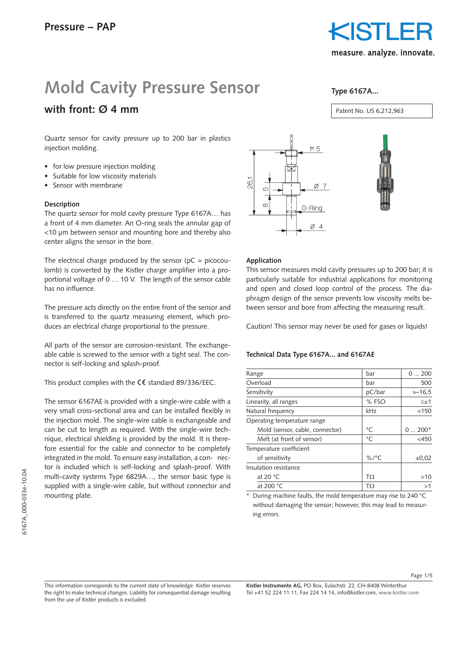

## **Mold Cavity Pressure Sensor**

### **with front: Ø 4 mm**

Quartz sensor for cavity pressure up to 200 bar in plastics injection molding.

- for low pressure injection molding
- Suitable for low viscosity materials
- Sensor with membrane

#### **Description**

The quartz sensor for mold cavity pressure Type 6167A… has a front of 4 mm diameter. An O-ring seals the annular gap of <10 µm between sensor and mounting bore and thereby also center aligns the sensor in the bore.

The electrical charge produced by the sensor ( $pC = picocou$ lomb) is converted by the Kistler charge amplifier into a proportional voltage of 0 … 10 V. The length of the sensor cable has no influence.

The pressure acts directly on the entire front of the sensor and is transferred to the quartz measuring element, which produces an electrical charge proportional to the pressure.

All parts of the sensor are corrosion-resistant. The exchangeable cable is screwed to the sensor with a tight seal. The connector is self-locking and splash-proof.

This product complies with the  $\mathsf{CE}$  standard 89/336/EEC.

The sensor 6167AE is provided with a single-wire cable with a very small cross-sectional area and can be installed flexibly in the injection mold. The single-wire cable is exchangeable and can be cut to length as required. With the single-wire technique, electrical shielding is provided by the mold. It is therefore essential for the cable and connector to be completely integrated in the mold. To ensure easy installation, a con- nector is included which is self-locking and splash-proof. With multi-cavity systems Type 6829A…, the sensor basic type is supplied with a single-wire cable, but without connector and mounting plate.



#### **Application**

This sensor measures mold cavity pressures up to 200 bar; it is particularly suitable for industrial applications for monitoring and open and closed loop control of the process. The diaphragm design of the sensor prevents low viscosity melts between sensor and bore from affecting the measuring result.

Caution! This sensor may never be used for gases or liquids!

#### **Technical Data Type 6167A... and 6167AE**

| Range                           | bar         | 0200            |
|---------------------------------|-------------|-----------------|
| Overload                        | bar         | 500             |
| Sensitivity                     | pC/bar      | $\approx -16.5$ |
| Linearity, all ranges           | % FSO       | $\leq \pm 1$    |
| Natural frequency               | kHz         | $\approx$ 150   |
| Operating temperature range     |             |                 |
| Mold (sensor, cable, connector) | $^{\circ}C$ | $0200*$         |
| Melt (at front of sensor)       | $^{\circ}C$ | $<$ 450         |
| Temperature coefficient         |             |                 |
| of sensitivity                  | $\%$ /°C    | $\pm 0.02$      |
| Insulation resistance           |             |                 |
| at 20 $\degree$ C               | TΩ          | >10             |
| at 200 °C                       | TΩ          | >1              |
|                                 |             |                 |

During machine faults, the mold temperature may rise to 240 °C without damaging the sensor; however, this may lead to measuring errors.

This information corresponds to the current state of knowledge. Kistler reserves the right to make technical changes. Liability for consequential damage resulting from the use of Kistler products is excluded.

**Kistler Instrumente AG,** PO Box, Eulachstr. 22, CH-8408 Winterthur Tel +41 52 224 11 11, Fax 224 14 14, info@kistler.com, **www.kistler.com**

Patent No. US 6,212,963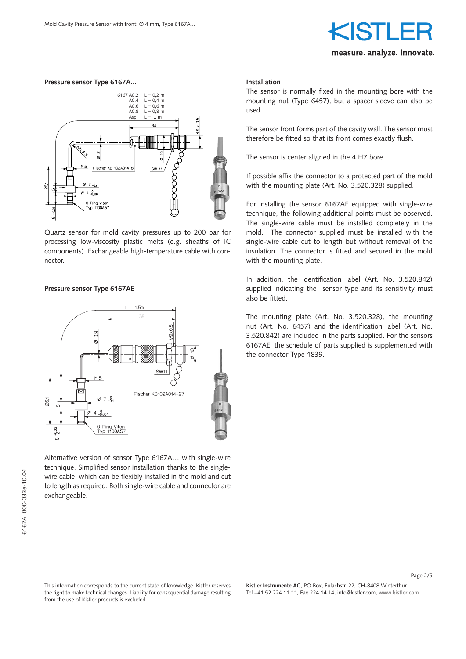# measure analyze innovate.

#### **Pressure sensor Type 6167A...**



Quartz sensor for mold cavity pressures up to 200 bar for processing low-viscosity plastic melts (e.g. sheaths of IC components). Exchangeable high-temperature cable with connector.

#### **Pressure sensor Type 6167AE**



Alternative version of sensor Type 6167A… with single-wire technique. Simplified sensor installation thanks to the singlewire cable, which can be flexibly installed in the mold and cut to length as required. Both single-wire cable and connector are exchangeable.

#### **Installation**

The sensor is normally fixed in the mounting bore with the mounting nut (Type 6457), but a spacer sleeve can also be used.

The sensor front forms part of the cavity wall. The sensor must therefore be fitted so that its front comes exactly flush.

The sensor is center aligned in the 4 H7 bore.

If possible affix the connector to a protected part of the mold with the mounting plate (Art. No. 3.520.328) supplied.

For installing the sensor 6167AE equipped with single-wire technique, the following additional points must be observed. The single-wire cable must be installed completely in the mold. The connector supplied must be installed with the single-wire cable cut to length but without removal of the insulation. The connector is fitted and secured in the mold with the mounting plate.

In addition, the identification label (Art. No. 3.520.842) supplied indicating the sensor type and its sensitivity must also be fitted.

The mounting plate (Art. No. 3.520.328), the mounting nut (Art. No. 6457) and the identification label (Art. No. 3.520.842) are included in the parts supplied. For the sensors 6167AE, the schedule of parts supplied is supplemented with the connector Type 1839.

Page 2/5

This information corresponds to the current state of knowledge. Kistler reserves the right to make technical changes. Liability for consequential damage resulting from the use of Kistler products is excluded.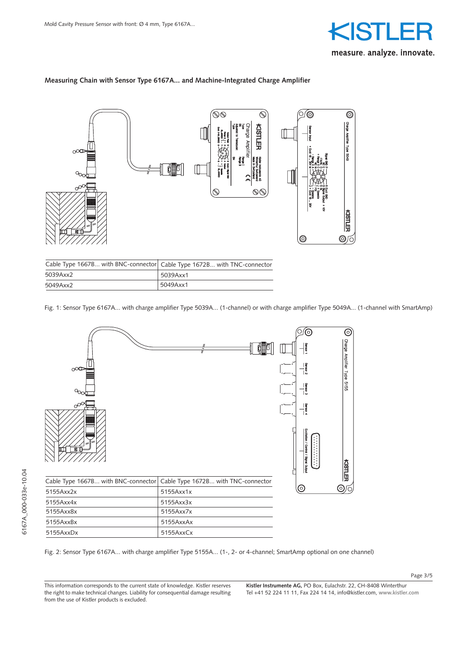

#### **Measuring Chain with Sensor Type 6167A... and Machine-Integrated Charge Amplifier**



| Cable Type 1667B with BNC-connector   Cable Type 1672B with TNC-connector |          |
|---------------------------------------------------------------------------|----------|
| 5039Axx2                                                                  | 5039Axx1 |
| 5049Axx2                                                                  | 5049Axx1 |

Fig. 1: Sensor Type 6167A... with charge amplifier Type 5039A... (1-channel) or with charge amplifier Type 5049A... (1-channel with SmartAmp)



Fig. 2: Sensor Type 6167A... with charge amplifier Type 5155A... (1-, 2- or 4-channel; SmartAmp optional on one channel)

6167A\_000-033e-10.04

6167A\_000-033e-10.04

**Kistler Instrumente AG,** PO Box, Eulachstr. 22, CH-8408 Winterthur Tel +41 52 224 11 11, Fax 224 14 14, info@kistler.com, **www.kistler.com**

Page 3/5

This information corresponds to the current state of knowledge. Kistler reserves the right to make technical changes. Liability for consequential damage resulting from the use of Kistler products is excluded.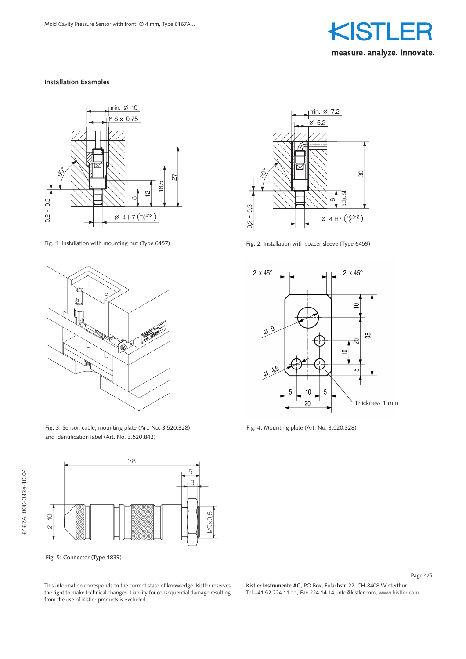

#### **Installation Examples**



Fig. 1: Installation with mounting nut (Type 6457) Fig. 2: Installation with spacer sleeve (Type 6459)



Fig. 3: Sensor, cable, mounting plate (Art. No. 3.520.328) and identification label (Art. No. 3.520.842)



Fig. 5: Connector (Type 1839)

 $\text{min. } \varnothing$  7,2  $\varnothing$  5,2 80 adiust  $0.2 - 0.3$  $\varnothing$  4 H7  $\binom{+0.012}{0}$ 



Fig. 4: Mounting plate (Art. No. 3.520.328)

Page 4/5

This information corresponds to the current state of knowledge. Kistler reserves the right to make technical changes. Liability for consequential damage resulting from the use of Kistler products is excluded.

**Kistler Instrumente AG,** PO Box, Eulachstr. 22, CH-8408 Winterthur Tel +41 52 224 11 11, Fax 224 14 14, info@kistler.com, **www.kistler.com**